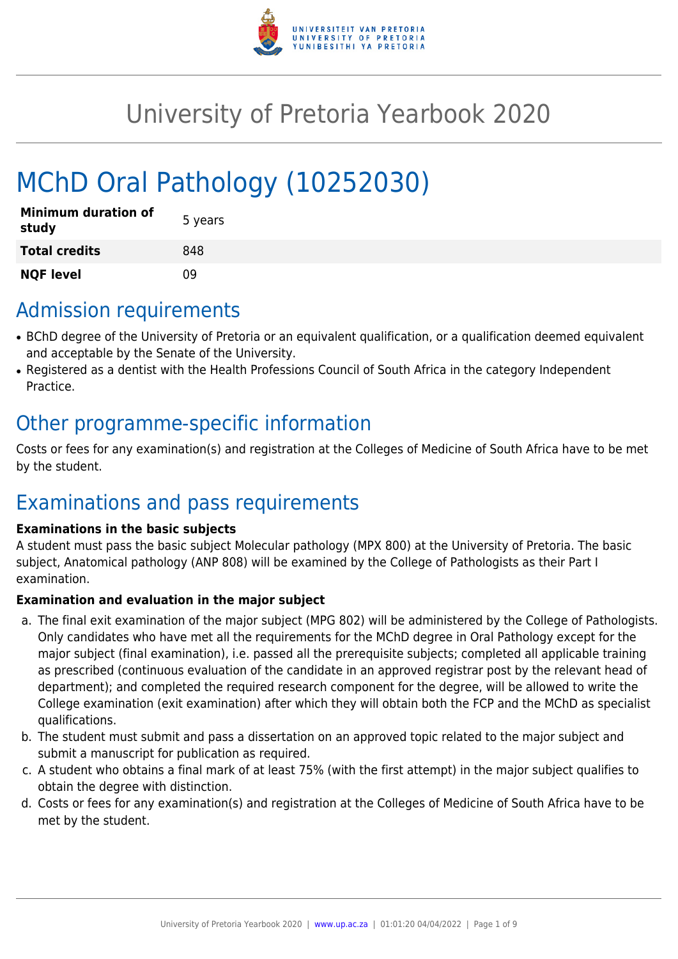

# University of Pretoria Yearbook 2020

# MChD Oral Pathology (10252030)

| <b>Minimum duration of</b><br>study | 5 years |
|-------------------------------------|---------|
| <b>Total credits</b>                | 848     |
| <b>NQF level</b>                    | ΩÓ      |

### Admission requirements

- BChD degree of the University of Pretoria or an equivalent qualification, or a qualification deemed equivalent and acceptable by the Senate of the University.
- Registered as a dentist with the Health Professions Council of South Africa in the category Independent Practice.

## Other programme-specific information

Costs or fees for any examination(s) and registration at the Colleges of Medicine of South Africa have to be met by the student.

# Examinations and pass requirements

#### **Examinations in the basic subjects**

A student must pass the basic subject Molecular pathology (MPX 800) at the University of Pretoria. The basic subject, Anatomical pathology (ANP 808) will be examined by the College of Pathologists as their Part I examination.

#### **Examination and evaluation in the major subject**

- a. The final exit examination of the major subject (MPG 802) will be administered by the College of Pathologists. Only candidates who have met all the requirements for the MChD degree in Oral Pathology except for the major subject (final examination), i.e. passed all the prerequisite subjects; completed all applicable training as prescribed (continuous evaluation of the candidate in an approved registrar post by the relevant head of department); and completed the required research component for the degree, will be allowed to write the College examination (exit examination) after which they will obtain both the FCP and the MChD as specialist qualifications.
- b. The student must submit and pass a dissertation on an approved topic related to the major subject and submit a manuscript for publication as required.
- c. A student who obtains a final mark of at least 75% (with the first attempt) in the major subject qualifies to obtain the degree with distinction.
- d. Costs or fees for any examination(s) and registration at the Colleges of Medicine of South Africa have to be met by the student.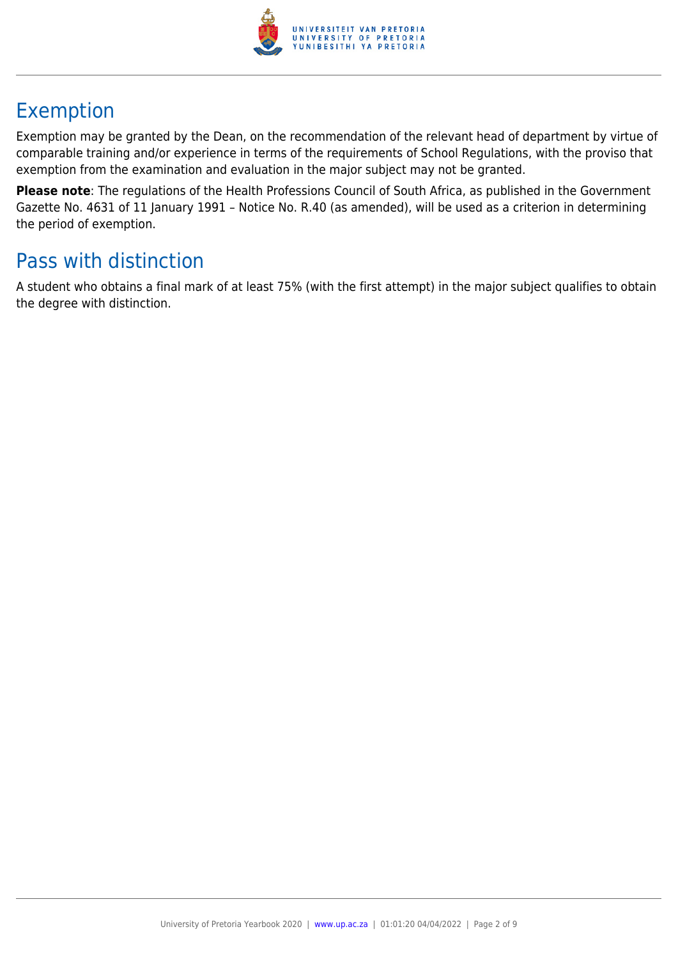

# Exemption

Exemption may be granted by the Dean, on the recommendation of the relevant head of department by virtue of comparable training and/or experience in terms of the requirements of School Regulations, with the proviso that exemption from the examination and evaluation in the major subject may not be granted.

**Please note**: The regulations of the Health Professions Council of South Africa, as published in the Government Gazette No. 4631 of 11 January 1991 – Notice No. R.40 (as amended), will be used as a criterion in determining the period of exemption.

## Pass with distinction

A student who obtains a final mark of at least 75% (with the first attempt) in the major subject qualifies to obtain the degree with distinction.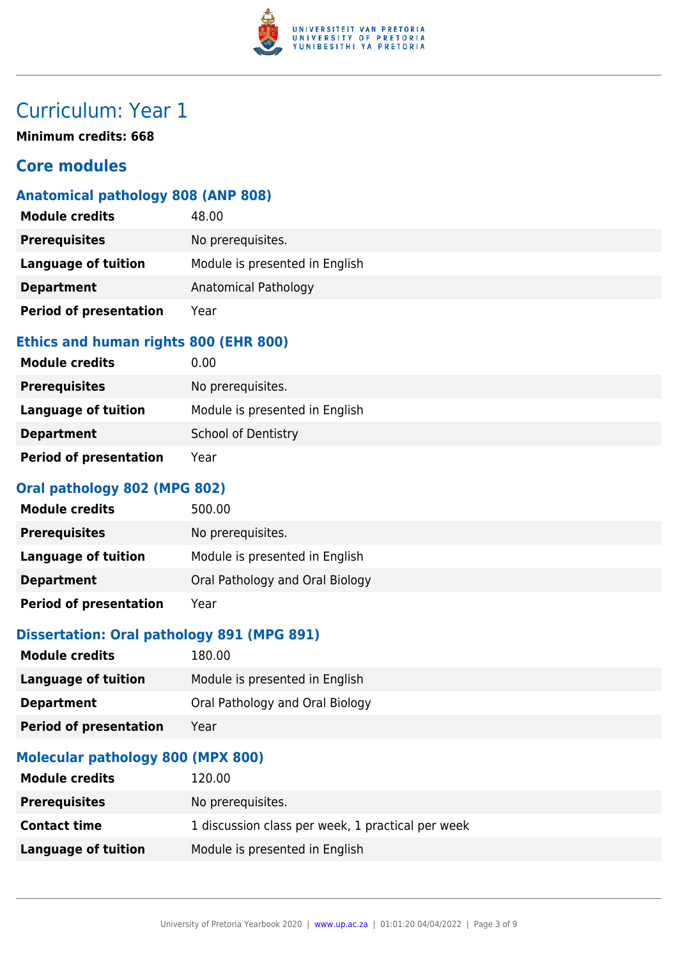

**Minimum credits: 668**

### **Core modules**

### **Anatomical pathology 808 (ANP 808)**

| <b>Module credits</b>         | 48.00                          |
|-------------------------------|--------------------------------|
| <b>Prerequisites</b>          | No prerequisites.              |
| <b>Language of tuition</b>    | Module is presented in English |
| <b>Department</b>             | Anatomical Pathology           |
| <b>Period of presentation</b> | Year                           |

#### **Ethics and human rights 800 (EHR 800)**

| <b>Module credits</b>         | 0.00                           |
|-------------------------------|--------------------------------|
| <b>Prerequisites</b>          | No prerequisites.              |
| Language of tuition           | Module is presented in English |
| <b>Department</b>             | <b>School of Dentistry</b>     |
| <b>Period of presentation</b> | Year                           |

#### **Oral pathology 802 (MPG 802)**

| <b>Module credits</b>         | 500.00                          |
|-------------------------------|---------------------------------|
| <b>Prerequisites</b>          | No prerequisites.               |
| Language of tuition           | Module is presented in English  |
| <b>Department</b>             | Oral Pathology and Oral Biology |
| <b>Period of presentation</b> | Year                            |

#### **Dissertation: Oral pathology 891 (MPG 891)**

| <b>Module credits</b>                     | 180.00                          |
|-------------------------------------------|---------------------------------|
| <b>Language of tuition</b>                | Module is presented in English  |
| <b>Department</b>                         | Oral Pathology and Oral Biology |
| <b>Period of presentation</b>             | Year                            |
| <b>Mathematical Common CAA (MADV CAA)</b> |                                 |

#### **Molecular pathology 800 (MPX 800)**

| <b>Module credits</b> | 120.00                                            |
|-----------------------|---------------------------------------------------|
| <b>Prerequisites</b>  | No prerequisites.                                 |
| <b>Contact time</b>   | 1 discussion class per week, 1 practical per week |
| Language of tuition   | Module is presented in English                    |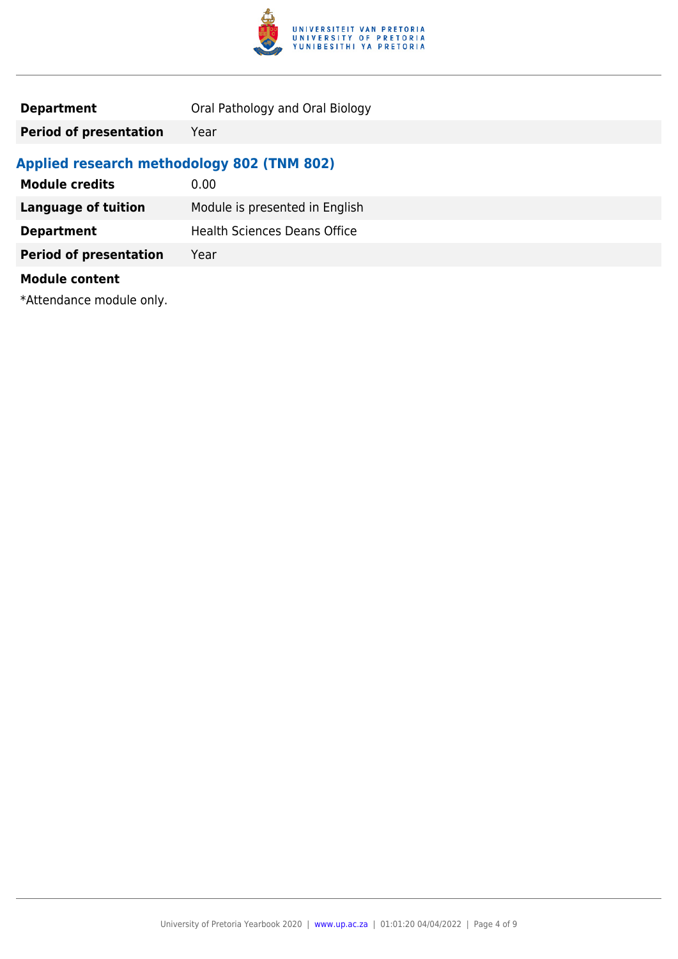

| <b>Department</b> | Oral Pathology and Oral Biology |
|-------------------|---------------------------------|
|-------------------|---------------------------------|

**Period of presentation** Year

### **Applied research methodology 802 (TNM 802)**

| <b>Module credits</b>         | 0.00                                |
|-------------------------------|-------------------------------------|
| <b>Language of tuition</b>    | Module is presented in English      |
| <b>Department</b>             | <b>Health Sciences Deans Office</b> |
| <b>Period of presentation</b> | Year                                |
| <b>Module content</b>         |                                     |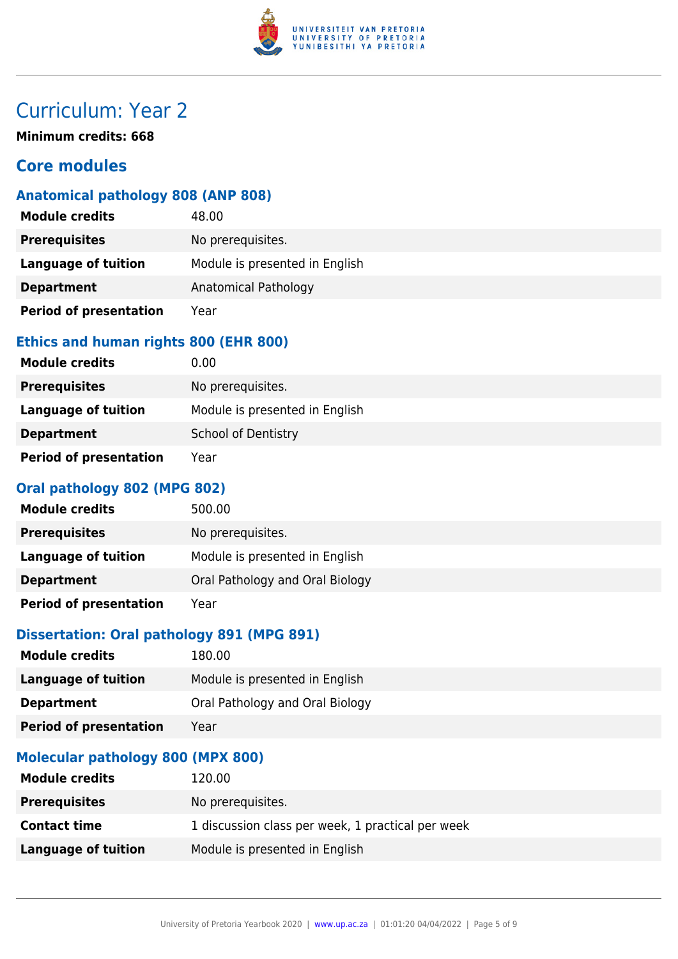

**Minimum credits: 668**

### **Core modules**

#### **Anatomical pathology 808 (ANP 808)**

| <b>Module credits</b>         | 48.00                          |
|-------------------------------|--------------------------------|
| <b>Prerequisites</b>          | No prerequisites.              |
| <b>Language of tuition</b>    | Module is presented in English |
| <b>Department</b>             | Anatomical Pathology           |
| <b>Period of presentation</b> | Year                           |

#### **Ethics and human rights 800 (EHR 800)**

| <b>Module credits</b>         | 0.00                           |
|-------------------------------|--------------------------------|
| <b>Prerequisites</b>          | No prerequisites.              |
| <b>Language of tuition</b>    | Module is presented in English |
| <b>Department</b>             | School of Dentistry            |
| <b>Period of presentation</b> | Year                           |

#### **Oral pathology 802 (MPG 802)**

| <b>Module credits</b>         | 500.00                          |
|-------------------------------|---------------------------------|
| <b>Prerequisites</b>          | No prerequisites.               |
| Language of tuition           | Module is presented in English  |
| <b>Department</b>             | Oral Pathology and Oral Biology |
| <b>Period of presentation</b> | Year                            |

#### **Dissertation: Oral pathology 891 (MPG 891)**

| <b>Module credits</b>                                                                                          | 180.00                          |
|----------------------------------------------------------------------------------------------------------------|---------------------------------|
| <b>Language of tuition</b>                                                                                     | Module is presented in English  |
| <b>Department</b>                                                                                              | Oral Pathology and Oral Biology |
| <b>Period of presentation</b>                                                                                  | Year                            |
| Martin and a sense of the sense on a sense of the sense of the sense of the sense of the sense of the sense of |                                 |

#### **Molecular pathology 800 (MPX 800)**

| <b>Module credits</b> | 120.00                                            |
|-----------------------|---------------------------------------------------|
| <b>Prerequisites</b>  | No prerequisites.                                 |
| <b>Contact time</b>   | 1 discussion class per week, 1 practical per week |
| Language of tuition   | Module is presented in English                    |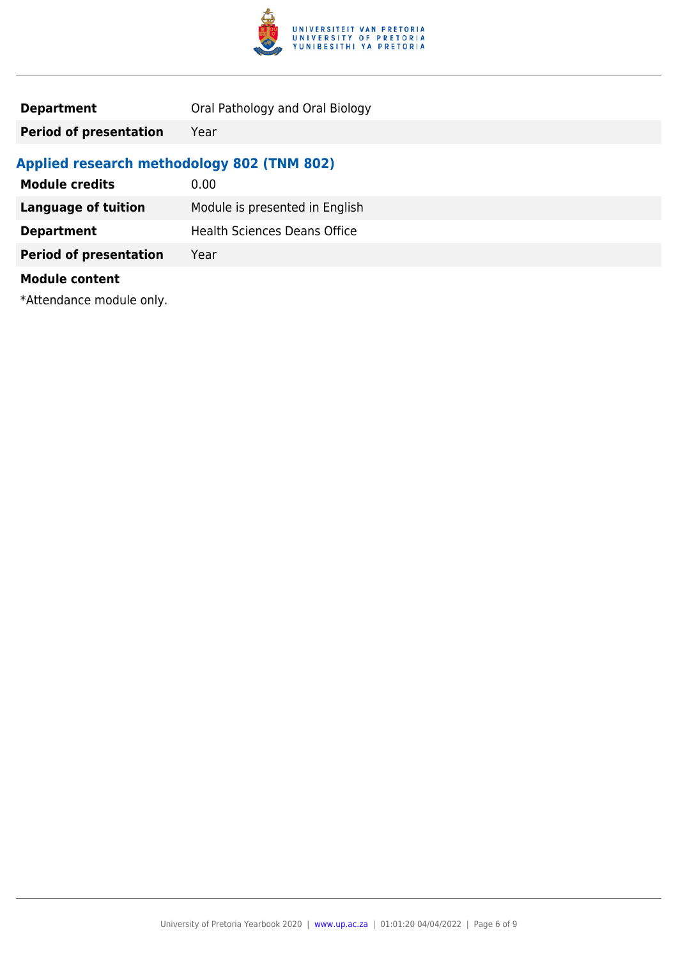

| <b>Department</b> | Oral Pathology and Oral Biology |
|-------------------|---------------------------------|
|-------------------|---------------------------------|

**Period of presentation** Year

### **Applied research methodology 802 (TNM 802)**

| <b>Module credits</b>         | 0.00                                |
|-------------------------------|-------------------------------------|
| <b>Language of tuition</b>    | Module is presented in English      |
| <b>Department</b>             | <b>Health Sciences Deans Office</b> |
| <b>Period of presentation</b> | Year                                |
| <b>Module content</b>         |                                     |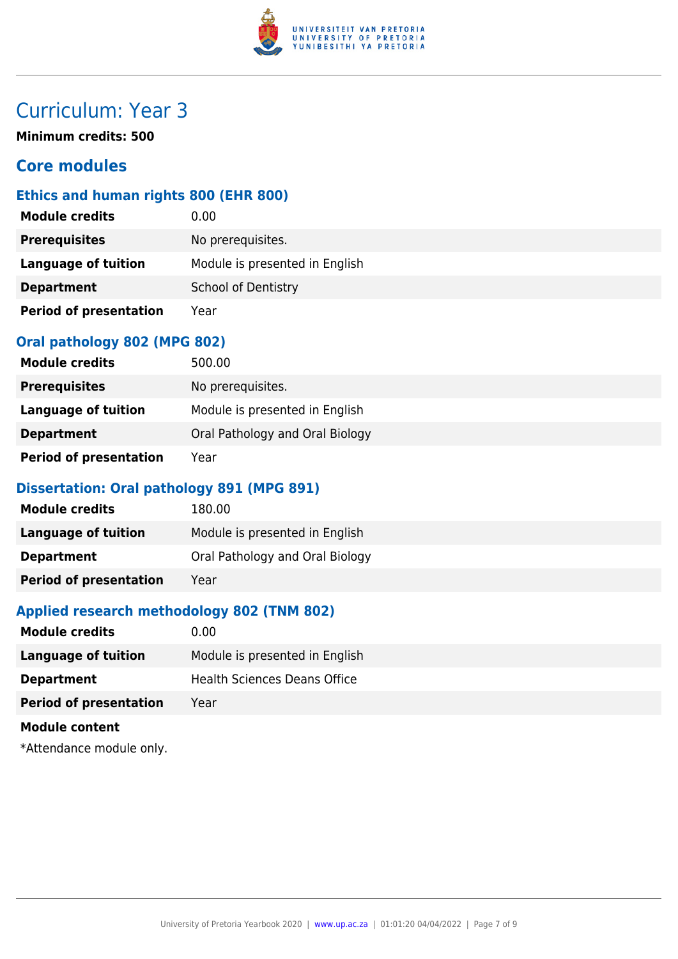

**Minimum credits: 500**

### **Core modules**

#### **Ethics and human rights 800 (EHR 800)**

| <b>Module credits</b>         | 0.00                           |  |
|-------------------------------|--------------------------------|--|
| <b>Prerequisites</b>          | No prerequisites.              |  |
| <b>Language of tuition</b>    | Module is presented in English |  |
| <b>Department</b>             | <b>School of Dentistry</b>     |  |
| <b>Period of presentation</b> | Year                           |  |

#### **Oral pathology 802 (MPG 802)**

| <b>Module credits</b>         | 500.00                          |
|-------------------------------|---------------------------------|
| <b>Prerequisites</b>          | No prerequisites.               |
| Language of tuition           | Module is presented in English  |
| <b>Department</b>             | Oral Pathology and Oral Biology |
| <b>Period of presentation</b> | Year                            |

#### **Dissertation: Oral pathology 891 (MPG 891)**

| <b>Module credits</b>         | 180.00                          |
|-------------------------------|---------------------------------|
| Language of tuition           | Module is presented in English  |
| <b>Department</b>             | Oral Pathology and Oral Biology |
| <b>Period of presentation</b> | Year                            |

#### **Applied research methodology 802 (TNM 802)**

| <b>Module credits</b>         | 0.00                                |
|-------------------------------|-------------------------------------|
| Language of tuition           | Module is presented in English      |
| <b>Department</b>             | <b>Health Sciences Deans Office</b> |
| <b>Period of presentation</b> | Year                                |
| <b>Module content</b>         |                                     |
|                               |                                     |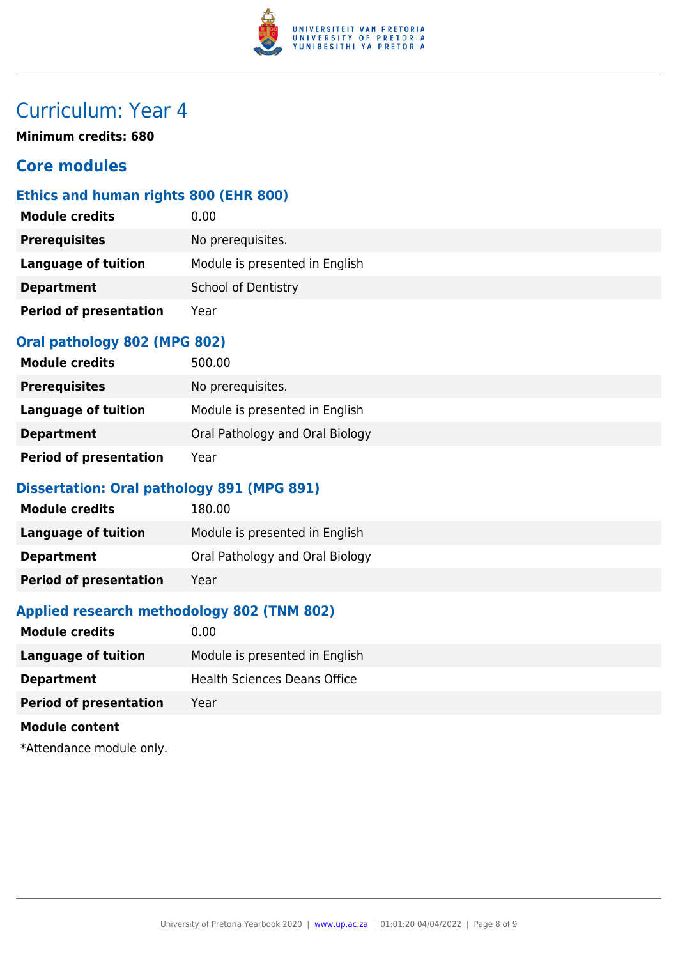

**Minimum credits: 680**

### **Core modules**

#### **Ethics and human rights 800 (EHR 800)**

| <b>Module credits</b>         | 0.00                           |  |
|-------------------------------|--------------------------------|--|
| <b>Prerequisites</b>          | No prerequisites.              |  |
| <b>Language of tuition</b>    | Module is presented in English |  |
| <b>Department</b>             | <b>School of Dentistry</b>     |  |
| <b>Period of presentation</b> | Year                           |  |

#### **Oral pathology 802 (MPG 802)**

| <b>Module credits</b>         | 500.00                          |
|-------------------------------|---------------------------------|
| <b>Prerequisites</b>          | No prerequisites.               |
| Language of tuition           | Module is presented in English  |
| <b>Department</b>             | Oral Pathology and Oral Biology |
| <b>Period of presentation</b> | Year                            |

#### **Dissertation: Oral pathology 891 (MPG 891)**

| <b>Module credits</b>         | 180.00                          |
|-------------------------------|---------------------------------|
| Language of tuition           | Module is presented in English  |
| <b>Department</b>             | Oral Pathology and Oral Biology |
| <b>Period of presentation</b> | Year                            |

#### **Applied research methodology 802 (TNM 802)**

| <b>Module credits</b>                                                                                                                                                                                                           | 0.00                                |
|---------------------------------------------------------------------------------------------------------------------------------------------------------------------------------------------------------------------------------|-------------------------------------|
| <b>Language of tuition</b>                                                                                                                                                                                                      | Module is presented in English      |
| <b>Department</b>                                                                                                                                                                                                               | <b>Health Sciences Deans Office</b> |
| <b>Period of presentation</b>                                                                                                                                                                                                   | Year                                |
| <b>Module content</b>                                                                                                                                                                                                           |                                     |
| $\sim$ . The contract of the contract of the contract of the contract of the contract of the contract of the contract of the contract of the contract of the contract of the contract of the contract of the contract of the co |                                     |